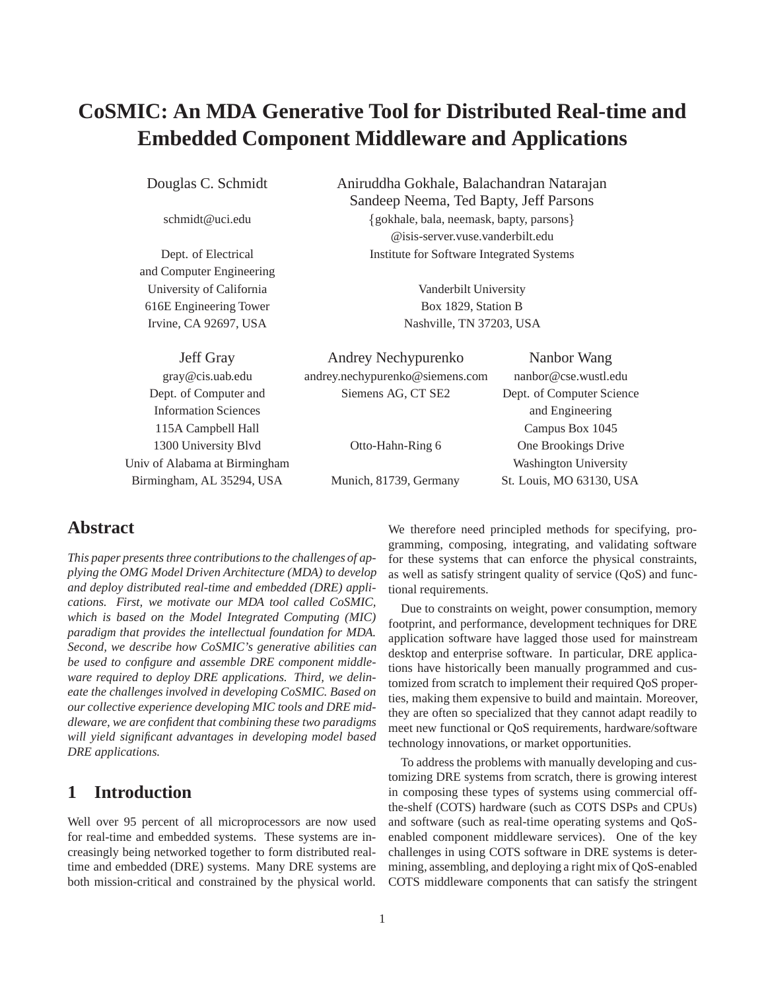# **CoSMIC: An MDA Generative Tool for Distributed Real-time and Embedded Component Middleware and Applications**

and Computer Engineering University of California Vanderbilt University 616E Engineering Tower Box 1829, Station B

Douglas C. Schmidt Aniruddha Gokhale, Balachandran Natarajan Sandeep Neema, Ted Bapty, Jeff Parsons schmidt@uci.edu {gokhale, bala, neemask, bapty, parsons} @isis-server.vuse.vanderbilt.edu Dept. of Electrical Institute for Software Integrated Systems

Irvine, CA 92697, USA Nashville, TN 37203, USA

| Jeff Gray                     | Andrey Nechypurenko             | Nanbor Wang                  |
|-------------------------------|---------------------------------|------------------------------|
| gray@cis.uab.edu              | andrey.nechypurenko@siemens.com | nanbor@cse.wustl.edu         |
| Dept. of Computer and         | Siemens AG, CT SE2              | Dept. of Computer Science    |
| <b>Information Sciences</b>   |                                 | and Engineering              |
| 115A Campbell Hall            |                                 | Campus Box 1045              |
| 1300 University Blvd          | Otto-Hahn-Ring 6                | One Brookings Drive          |
| Univ of Alabama at Birmingham |                                 | <b>Washington University</b> |
| Birmingham, AL 35294, USA     | Munich, 81739, Germany          | St. Louis, MO 63130, USA     |
|                               |                                 |                              |

#### **Abstract**

*This paper presents three contributions to the challenges of applying the OMG Model Driven Architecture (MDA) to develop and deploy distributed real-time and embedded (DRE) applications. First, we motivate our MDA tool called CoSMIC, which is based on the Model Integrated Computing (MIC) paradigm that provides the intellectual foundation for MDA. Second, we describe how CoSMIC's generative abilities can be used to configure and assemble DRE component middleware required to deploy DRE applications. Third, we delineate the challenges involved in developing CoSMIC. Based on our collective experience developing MIC tools and DRE middleware, we are confident that combining these two paradigms will yield significant advantages in developing model based DRE applications.*

### **1 Introduction**

Well over 95 percent of all microprocessors are now used for real-time and embedded systems. These systems are increasingly being networked together to form distributed realtime and embedded (DRE) systems. Many DRE systems are both mission-critical and constrained by the physical world.

We therefore need principled methods for specifying, programming, composing, integrating, and validating software for these systems that can enforce the physical constraints, as well as satisfy stringent quality of service (QoS) and functional requirements.

Due to constraints on weight, power consumption, memory footprint, and performance, development techniques for DRE application software have lagged those used for mainstream desktop and enterprise software. In particular, DRE applications have historically been manually programmed and customized from scratch to implement their required QoS properties, making them expensive to build and maintain. Moreover, they are often so specialized that they cannot adapt readily to meet new functional or QoS requirements, hardware/software technology innovations, or market opportunities.

To address the problems with manually developing and customizing DRE systems from scratch, there is growing interest in composing these types of systems using commercial offthe-shelf (COTS) hardware (such as COTS DSPs and CPUs) and software (such as real-time operating systems and QoSenabled component middleware services). One of the key challenges in using COTS software in DRE systems is determining, assembling, and deploying a right mix of QoS-enabled COTS middleware components that can satisfy the stringent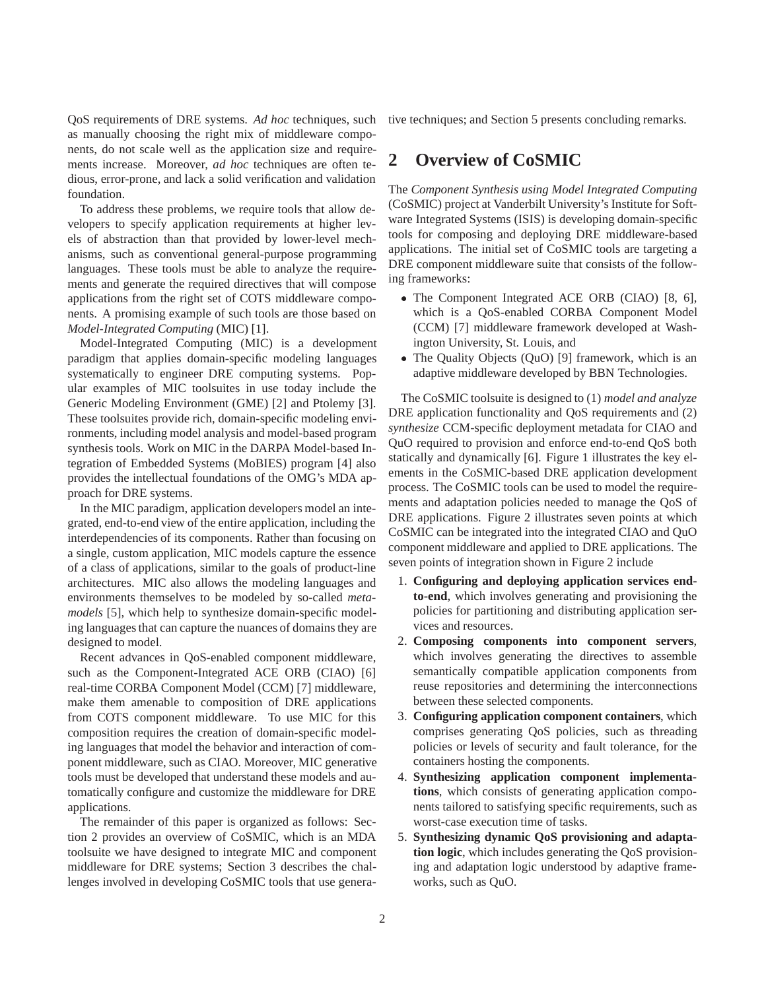QoS requirements of DRE systems. *Ad hoc* techniques, such as manually choosing the right mix of middleware components, do not scale well as the application size and requirements increase. Moreover, *ad hoc* techniques are often tedious, error-prone, and lack a solid verification and validation foundation.

To address these problems, we require tools that allow developers to specify application requirements at higher levels of abstraction than that provided by lower-level mechanisms, such as conventional general-purpose programming languages. These tools must be able to analyze the requirements and generate the required directives that will compose applications from the right set of COTS middleware components. A promising example of such tools are those based on *Model-Integrated Computing* (MIC) [1].

Model-Integrated Computing (MIC) is a development paradigm that applies domain-specific modeling languages systematically to engineer DRE computing systems. Popular examples of MIC toolsuites in use today include the Generic Modeling Environment (GME) [2] and Ptolemy [3]. These toolsuites provide rich, domain-specific modeling environments, including model analysis and model-based program synthesis tools. Work on MIC in the DARPA Model-based Integration of Embedded Systems (MoBIES) program [4] also provides the intellectual foundations of the OMG's MDA approach for DRE systems.

In the MIC paradigm, application developers model an integrated, end-to-end view of the entire application, including the interdependencies of its components. Rather than focusing on a single, custom application, MIC models capture the essence of a class of applications, similar to the goals of product-line architectures. MIC also allows the modeling languages and environments themselves to be modeled by so-called *metamodels* [5], which help to synthesize domain-specific modeling languages that can capture the nuances of domains they are designed to model.

Recent advances in QoS-enabled component middleware, such as the Component-Integrated ACE ORB (CIAO) [6] real-time CORBA Component Model (CCM) [7] middleware, make them amenable to composition of DRE applications from COTS component middleware. To use MIC for this composition requires the creation of domain-specific modeling languages that model the behavior and interaction of component middleware, such as CIAO. Moreover, MIC generative tools must be developed that understand these models and automatically configure and customize the middleware for DRE applications.

The remainder of this paper is organized as follows: Section 2 provides an overview of CoSMIC, which is an MDA toolsuite we have designed to integrate MIC and component middleware for DRE systems; Section 3 describes the challenges involved in developing CoSMIC tools that use generative techniques; and Section 5 presents concluding remarks.

### **2 Overview of CoSMIC**

The *Component Synthesis using Model Integrated Computing* (CoSMIC) project at Vanderbilt University's Institute for Software Integrated Systems (ISIS) is developing domain-specific tools for composing and deploying DRE middleware-based applications. The initial set of CoSMIC tools are targeting a DRE component middleware suite that consists of the following frameworks:

- The Component Integrated ACE ORB (CIAO) [8, 6], which is a QoS-enabled CORBA Component Model (CCM) [7] middleware framework developed at Washington University, St. Louis, and
- The Quality Objects (QuO) [9] framework, which is an adaptive middleware developed by BBN Technologies.

The CoSMIC toolsuite is designed to (1) *model and analyze* DRE application functionality and QoS requirements and (2) *synthesize* CCM-specific deployment metadata for CIAO and QuO required to provision and enforce end-to-end QoS both statically and dynamically [6]. Figure 1 illustrates the key elements in the CoSMIC-based DRE application development process. The CoSMIC tools can be used to model the requirements and adaptation policies needed to manage the QoS of DRE applications. Figure 2 illustrates seven points at which CoSMIC can be integrated into the integrated CIAO and QuO component middleware and applied to DRE applications. The seven points of integration shown in Figure 2 include

- 1. **Configuring and deploying application services endto-end**, which involves generating and provisioning the policies for partitioning and distributing application services and resources.
- 2. **Composing components into component servers**, which involves generating the directives to assemble semantically compatible application components from reuse repositories and determining the interconnections between these selected components.
- 3. **Configuring application component containers**, which comprises generating QoS policies, such as threading policies or levels of security and fault tolerance, for the containers hosting the components.
- 4. **Synthesizing application component implementations**, which consists of generating application components tailored to satisfying specific requirements, such as worst-case execution time of tasks.
- 5. **Synthesizing dynamic QoS provisioning and adaptation logic**, which includes generating the QoS provisioning and adaptation logic understood by adaptive frameworks, such as QuO.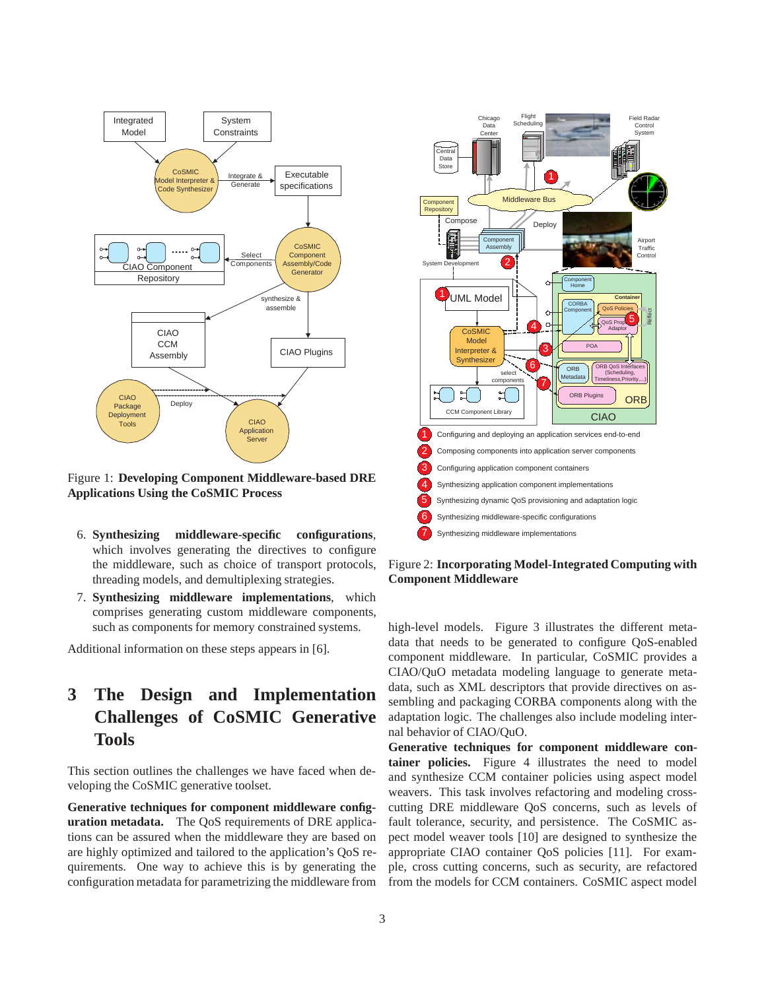

Figure 1: **Developing Component Middleware-based DRE Applications Using the CoSMIC Process**

- 6. **Synthesizing middleware-specific configurations**, which involves generating the directives to configure the middleware, such as choice of transport protocols, threading models, and demultiplexing strategies.
- 7. **Synthesizing middleware implementations**, which comprises generating custom middleware components, such as components for memory constrained systems.

Additional information on these steps appears in [6].

## **3 The Design and Implementation Challenges of CoSMIC Generative Tools**

This section outlines the challenges we have faced when developing the CoSMIC generative toolset.

**Generative techniques for component middleware configuration metadata.** The QoS requirements of DRE applications can be assured when the middleware they are based on are highly optimized and tailored to the application's QoS requirements. One way to achieve this is by generating the configuration metadata for parametrizing the middleware from



Figure 2: **Incorporating Model-Integrated Computing with Component Middleware**

high-level models. Figure 3 illustrates the different metadata that needs to be generated to configure QoS-enabled component middleware. In particular, CoSMIC provides a CIAO/QuO metadata modeling language to generate metadata, such as XML descriptors that provide directives on assembling and packaging CORBA components along with the adaptation logic. The challenges also include modeling internal behavior of CIAO/QuO.

**Generative techniques for component middleware container policies.** Figure 4 illustrates the need to model and synthesize CCM container policies using aspect model weavers. This task involves refactoring and modeling crosscutting DRE middleware QoS concerns, such as levels of fault tolerance, security, and persistence. The CoSMIC aspect model weaver tools [10] are designed to synthesize the appropriate CIAO container QoS policies [11]. For example, cross cutting concerns, such as security, are refactored from the models for CCM containers. CoSMIC aspect model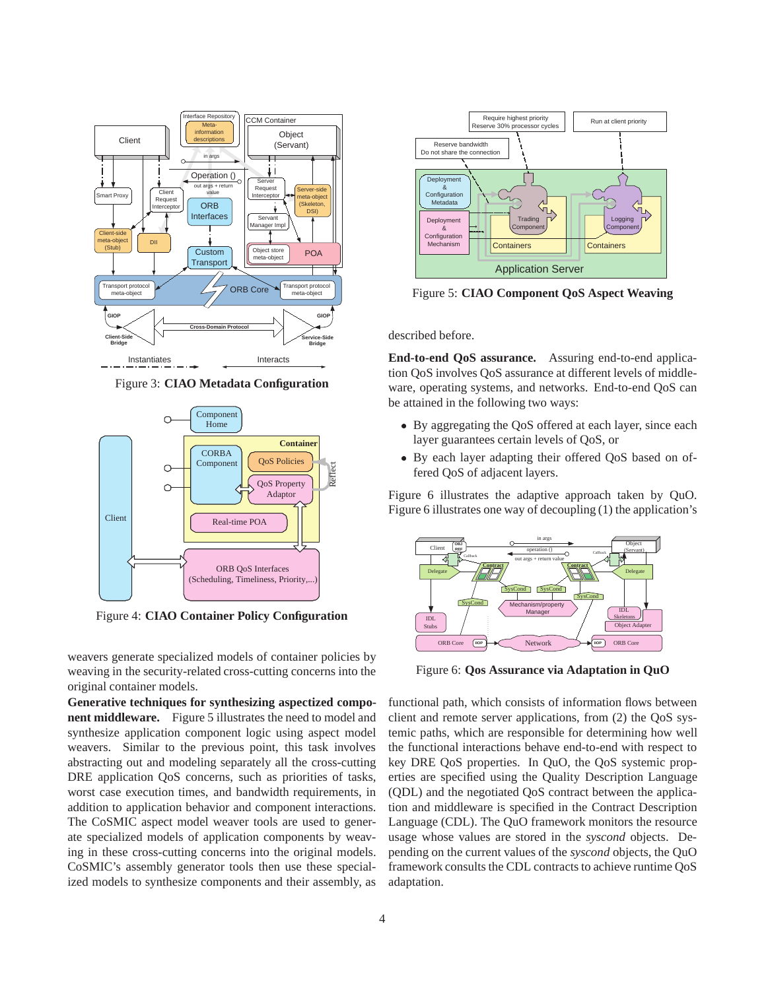

Figure 3: **CIAO Metadata Configuration**



Figure 4: **CIAO Container Policy Configuration**

weavers generate specialized models of container policies by weaving in the security-related cross-cutting concerns into the original container models.

**Generative techniques for synthesizing aspectized component middleware.** Figure 5 illustrates the need to model and synthesize application component logic using aspect model weavers. Similar to the previous point, this task involves abstracting out and modeling separately all the cross-cutting DRE application QoS concerns, such as priorities of tasks, worst case execution times, and bandwidth requirements, in addition to application behavior and component interactions. The CoSMIC aspect model weaver tools are used to generate specialized models of application components by weaving in these cross-cutting concerns into the original models. CoSMIC's assembly generator tools then use these specialized models to synthesize components and their assembly, as



Figure 5: **CIAO Component QoS Aspect Weaving**

described before.

**End-to-end QoS assurance.** Assuring end-to-end application QoS involves QoS assurance at different levels of middleware, operating systems, and networks. End-to-end QoS can be attained in the following two ways:

- By aggregating the QoS offered at each layer, since each layer guarantees certain levels of QoS, or
- By each layer adapting their offered QoS based on offered QoS of adjacent layers.

Figure 6 illustrates the adaptive approach taken by QuO. Figure 6 illustrates one way of decoupling (1) the application's



Figure 6: **Qos Assurance via Adaptation in QuO**

functional path, which consists of information flows between client and remote server applications, from (2) the QoS systemic paths, which are responsible for determining how well the functional interactions behave end-to-end with respect to key DRE QoS properties. In QuO, the QoS systemic properties are specified using the Quality Description Language (QDL) and the negotiated QoS contract between the application and middleware is specified in the Contract Description Language (CDL). The QuO framework monitors the resource usage whose values are stored in the *syscond* objects. Depending on the current values of the *syscond* objects, the QuO framework consults the CDL contracts to achieve runtime QoS adaptation.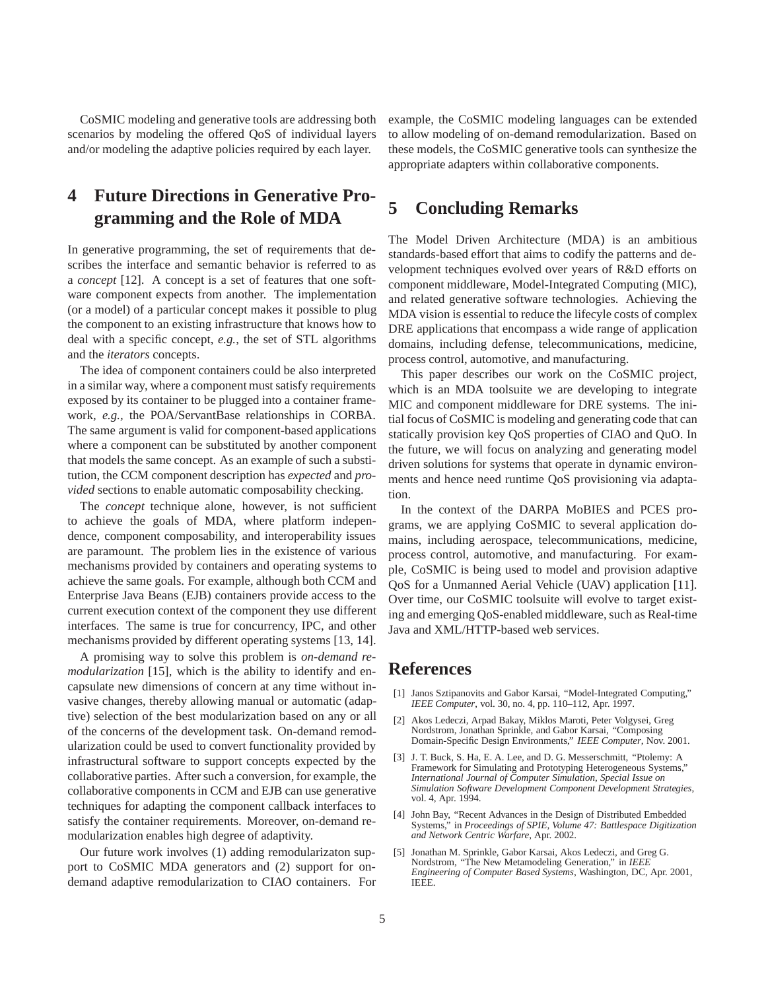CoSMIC modeling and generative tools are addressing both scenarios by modeling the offered QoS of individual layers and/or modeling the adaptive policies required by each layer.

## **4 Future Directions in Generative Programming and the Role of MDA**

In generative programming, the set of requirements that describes the interface and semantic behavior is referred to as a *concept* [12]. A concept is a set of features that one software component expects from another. The implementation (or a model) of a particular concept makes it possible to plug the component to an existing infrastructure that knows how to deal with a specific concept, *e.g.*, the set of STL algorithms and the *iterators* concepts.

The idea of component containers could be also interpreted in a similar way, where a component must satisfy requirements exposed by its container to be plugged into a container framework, *e.g.,* the POA/ServantBase relationships in CORBA. The same argument is valid for component-based applications where a component can be substituted by another component that models the same concept. As an example of such a substitution, the CCM component description has *expected* and *provided* sections to enable automatic composability checking.

The *concept* technique alone, however, is not sufficient to achieve the goals of MDA, where platform independence, component composability, and interoperability issues are paramount. The problem lies in the existence of various mechanisms provided by containers and operating systems to achieve the same goals. For example, although both CCM and Enterprise Java Beans (EJB) containers provide access to the current execution context of the component they use different interfaces. The same is true for concurrency, IPC, and other mechanisms provided by different operating systems [13, 14].

A promising way to solve this problem is *on-demand remodularization* [15], which is the ability to identify and encapsulate new dimensions of concern at any time without invasive changes, thereby allowing manual or automatic (adaptive) selection of the best modularization based on any or all of the concerns of the development task. On-demand remodularization could be used to convert functionality provided by infrastructural software to support concepts expected by the collaborative parties. After such a conversion, for example, the collaborative components in CCM and EJB can use generative techniques for adapting the component callback interfaces to satisfy the container requirements. Moreover, on-demand remodularization enables high degree of adaptivity.

Our future work involves (1) adding remodularizaton support to CoSMIC MDA generators and (2) support for ondemand adaptive remodularization to CIAO containers. For example, the CoSMIC modeling languages can be extended to allow modeling of on-demand remodularization. Based on these models, the CoSMIC generative tools can synthesize the appropriate adapters within collaborative components.

### **5 Concluding Remarks**

The Model Driven Architecture (MDA) is an ambitious standards-based effort that aims to codify the patterns and development techniques evolved over years of R&D efforts on component middleware, Model-Integrated Computing (MIC), and related generative software technologies. Achieving the MDA vision is essential to reduce the lifecyle costs of complex DRE applications that encompass a wide range of application domains, including defense, telecommunications, medicine, process control, automotive, and manufacturing.

This paper describes our work on the CoSMIC project, which is an MDA toolsuite we are developing to integrate MIC and component middleware for DRE systems. The initial focus of CoSMIC is modeling and generating code that can statically provision key QoS properties of CIAO and QuO. In the future, we will focus on analyzing and generating model driven solutions for systems that operate in dynamic environments and hence need runtime QoS provisioning via adaptation.

In the context of the DARPA MoBIES and PCES programs, we are applying CoSMIC to several application domains, including aerospace, telecommunications, medicine, process control, automotive, and manufacturing. For example, CoSMIC is being used to model and provision adaptive QoS for a Unmanned Aerial Vehicle (UAV) application [11]. Over time, our CoSMIC toolsuite will evolve to target existing and emerging QoS-enabled middleware, such as Real-time Java and XML/HTTP-based web services.

#### **References**

- [1] Janos Sztipanovits and Gabor Karsai, "Model-Integrated Computing," *IEEE Computer*, vol. 30, no. 4, pp. 110–112, Apr. 1997.
- [2] Akos Ledeczi, Arpad Bakay, Miklos Maroti, Peter Volgysei, Greg Nordstrom, Jonathan Sprinkle, and Gabor Karsai, "Composing Domain-Specific Design Environments," *IEEE Computer*, Nov. 2001.
- [3] J. T. Buck, S. Ha, E. A. Lee, and D. G. Messerschmitt, "Ptolemy: A Framework for Simulating and Prototyping Heterogeneous Systems," *International Journal of Computer Simulation, Special Issue on Simulation Software Development Component Development Strategies*, vol. 4, Apr. 1994.
- [4] John Bay, "Recent Advances in the Design of Distributed Embedded Systems," in *Proceedings of SPIE, Volume 47: Battlespace Digitization and Network Centric Warfare*, Apr. 2002.
- [5] Jonathan M. Sprinkle, Gabor Karsai, Akos Ledeczi, and Greg G. Nordstrom, "The New Metamodeling Generation," in *IEEE Engineering of Computer Based Systems*, Washington, DC, Apr. 2001, IEEE.